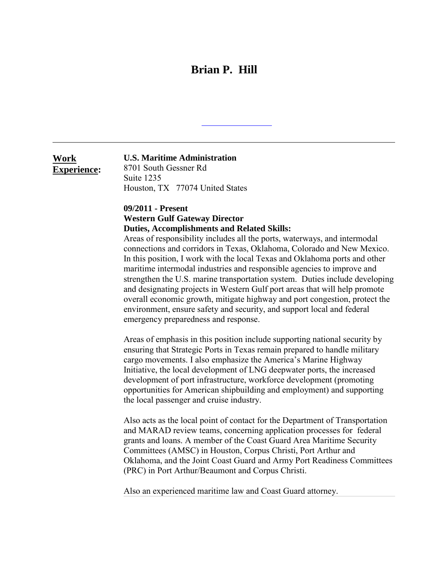# **Brian P. Hill**

**Work Experience:**

## **U.S. Maritime Administration**

8701 South Gessner Rd Suite 1235 Houston, TX 77074 United States

## **09/2011 - Present Western Gulf Gateway Director Duties, Accomplishments and Related Skills:**

Areas of responsibility includes all the ports, waterways, and intermodal connections and corridors in Texas, Oklahoma, Colorado and New Mexico. In this position, I work with the local Texas and Oklahoma ports and other maritime intermodal industries and responsible agencies to improve and strengthen the U.S. marine transportation system. Duties include developing and designating projects in Western Gulf port areas that will help promote overall economic growth, mitigate highway and port congestion, protect the environment, ensure safety and security, and support local and federal emergency preparedness and response.

Areas of emphasis in this position include supporting national security by ensuring that Strategic Ports in Texas remain prepared to handle military cargo movements. I also emphasize the America's Marine Highway Initiative, the local development of LNG deepwater ports, the increased development of port infrastructure, workforce development (promoting opportunities for American shipbuilding and employment) and supporting the local passenger and cruise industry.

Also acts as the local point of contact for the Department of Transportation and MARAD review teams, concerning application processes for federal grants and loans. A member of the Coast Guard Area Maritime Security Committees (AMSC) in Houston, Corpus Christi, Port Arthur and Oklahoma, and the Joint Coast Guard and Army Port Readiness Committees (PRC) in Port Arthur/Beaumont and Corpus Christi.

Also an experienced maritime law and Coast Guard attorney.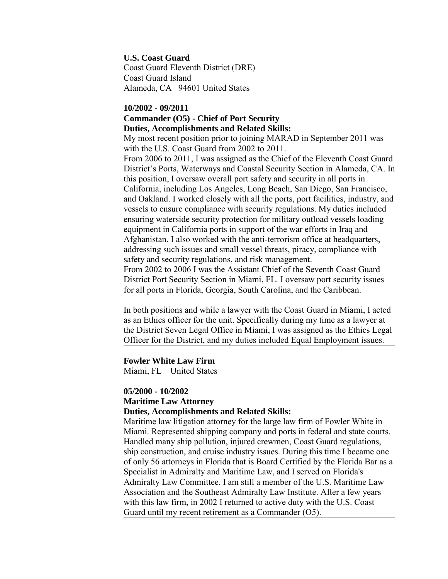#### **U.S. Coast Guard**

Coast Guard Eleventh District (DRE) Coast Guard Island Alameda, CA 94601 United States

## **10/2002 - 09/2011 Commander (O5) - Chief of Port Security Duties, Accomplishments and Related Skills:**

My most recent position prior to joining MARAD in September 2011 was with the U.S. Coast Guard from 2002 to 2011.

From 2006 to 2011, I was assigned as the Chief of the Eleventh Coast Guard District's Ports, Waterways and Coastal Security Section in Alameda, CA. In this position, I oversaw overall port safety and security in all ports in California, including Los Angeles, Long Beach, San Diego, San Francisco, and Oakland. I worked closely with all the ports, port facilities, industry, and vessels to ensure compliance with security regulations. My duties included ensuring waterside security protection for military outload vessels loading equipment in California ports in support of the war efforts in Iraq and Afghanistan. I also worked with the anti-terrorism office at headquarters, addressing such issues and small vessel threats, piracy, compliance with safety and security regulations, and risk management. From 2002 to 2006 I was the Assistant Chief of the Seventh Coast Guard

District Port Security Section in Miami, FL. I oversaw port security issues for all ports in Florida, Georgia, South Carolina, and the Caribbean.

In both positions and while a lawyer with the Coast Guard in Miami, I acted as an Ethics officer for the unit. Specifically during my time as a lawyer at the District Seven Legal Office in Miami, I was assigned as the Ethics Legal Officer for the District, and my duties included Equal Employment issues.

## **Fowler White Law Firm**

Miami, FL United States

## **05/2000 - 10/2002**

## **Maritime Law Attorney**

## **Duties, Accomplishments and Related Skills:**

Maritime law litigation attorney for the large law firm of Fowler White in Miami. Represented shipping company and ports in federal and state courts. Handled many ship pollution, injured crewmen, Coast Guard regulations, ship construction, and cruise industry issues. During this time I became one of only 56 attorneys in Florida that is Board Certified by the Florida Bar as a Specialist in Admiralty and Maritime Law, and I served on Florida's Admiralty Law Committee. I am still a member of the U.S. Maritime Law Association and the Southeast Admiralty Law Institute. After a few years with this law firm, in 2002 I returned to active duty with the U.S. Coast Guard until my recent retirement as a Commander (O5).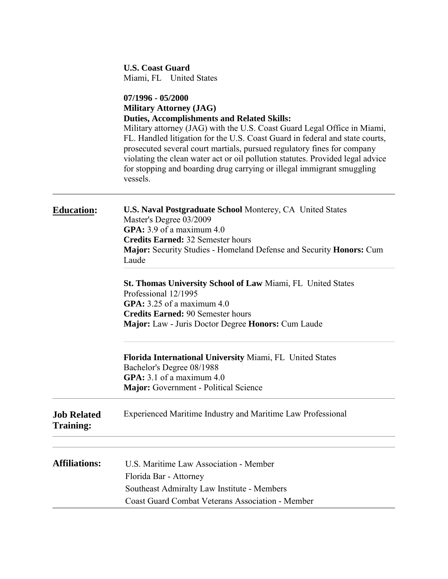|                                        | <b>U.S. Coast Guard</b><br>Miami, FL United States                                                                                                                                                                                                                                                                                                                                                                                                                                                                       |  |
|----------------------------------------|--------------------------------------------------------------------------------------------------------------------------------------------------------------------------------------------------------------------------------------------------------------------------------------------------------------------------------------------------------------------------------------------------------------------------------------------------------------------------------------------------------------------------|--|
|                                        | 07/1996 - 05/2000<br><b>Military Attorney (JAG)</b><br><b>Duties, Accomplishments and Related Skills:</b><br>Military attorney (JAG) with the U.S. Coast Guard Legal Office in Miami,<br>FL. Handled litigation for the U.S. Coast Guard in federal and state courts,<br>prosecuted several court martials, pursued regulatory fines for company<br>violating the clean water act or oil pollution statutes. Provided legal advice<br>for stopping and boarding drug carrying or illegal immigrant smuggling<br>vessels. |  |
| <b>Education:</b>                      | U.S. Naval Postgraduate School Monterey, CA United States<br>Master's Degree 03/2009<br>GPA: $3.9$ of a maximum $4.0$<br><b>Credits Earned: 32 Semester hours</b><br>Major: Security Studies - Homeland Defense and Security Honors: Cum<br>Laude                                                                                                                                                                                                                                                                        |  |
|                                        | St. Thomas University School of Law Miami, FL United States<br>Professional 12/1995<br>GPA: $3.25$ of a maximum $4.0$<br><b>Credits Earned: 90 Semester hours</b><br>Major: Law - Juris Doctor Degree Honors: Cum Laude                                                                                                                                                                                                                                                                                                  |  |
|                                        | Florida International University Miami, FL United States<br>Bachelor's Degree 08/1988<br>GPA: $3.1$ of a maximum $4.0$<br><b>Major:</b> Government - Political Science                                                                                                                                                                                                                                                                                                                                                   |  |
| <b>Job Related</b><br><b>Training:</b> | <b>Experienced Maritime Industry and Maritime Law Professional</b>                                                                                                                                                                                                                                                                                                                                                                                                                                                       |  |
| <b>Affiliations:</b>                   | U.S. Maritime Law Association - Member<br>Florida Bar - Attorney<br>Southeast Admiralty Law Institute - Members<br><b>Coast Guard Combat Veterans Association - Member</b>                                                                                                                                                                                                                                                                                                                                               |  |